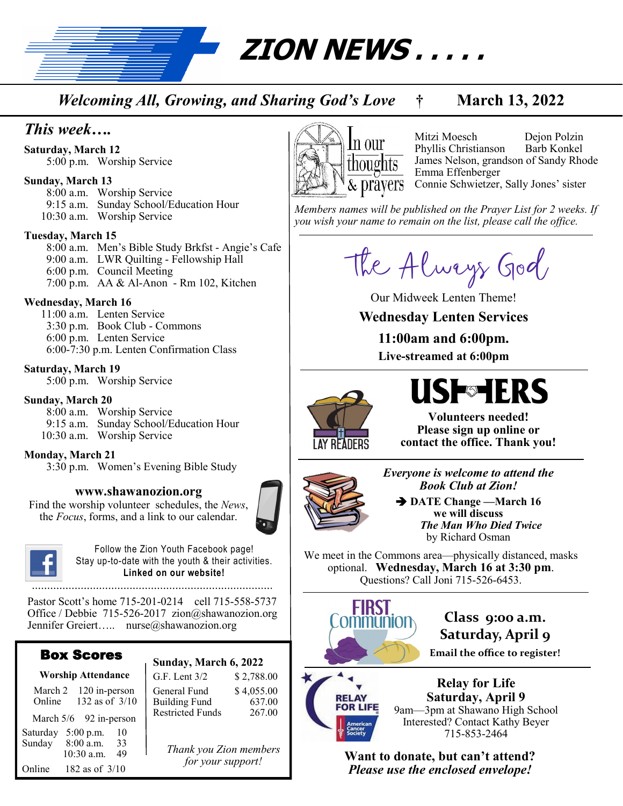**ZION NEWS . . . . .** 

*Welcoming All, Growing, and Sharing God's Love* **† March 13, 2022**

## *This week….*

**Saturday, March 12** 5:00 p.m. Worship Service

#### **Sunday, March 13**

8:00 a.m. Worship Service 9:15 a.m. Sunday School/Education Hour 10:30 a.m. Worship Service

#### **Tuesday, March 15**

8:00 a.m. Men's Bible Study Brkfst - Angie's Cafe 9:00 a.m. LWR Quilting - Fellowship Hall 6:00 p.m. Council Meeting 7:00 p.m. AA & Al-Anon - Rm 102, Kitchen

#### **Wednesday, March 16**

 11:00 a.m. Lenten Service 3:30 p.m. Book Club - Commons 6:00 p.m. Lenten Service 6:00-7:30 p.m. Lenten Confirmation Class

#### **Saturday, March 19**

5:00 p.m. Worship Service

#### **Sunday, March 20**

8:00 a.m. Worship Service 9:15 a.m. Sunday School/Education Hour 10:30 a.m. Worship Service

#### **Monday, March 21**

3:30 p.m. Women's Evening Bible Study

#### **www.shawanozion.org**

Find the worship volunteer schedules, the *News*, the *Focus*, forms, and a link to our calendar.



Follow the Zion Youth Facebook page! Stay up-to-date with the youth & their activities. **Linked on our website!**

Pastor Scott's home 715-201-0214 cell 715-558-5737 Office / Debbie 715-526-2017 zion@shawanozion.org Jennifer Greiert….. nurse@shawanozion.org

#### Box Scores

| <b>Worship Attendance</b> |                                                          |  |
|---------------------------|----------------------------------------------------------|--|
| March 2<br>Online         | 120 in-person<br>132 as of 3/10                          |  |
|                           | March 5/6 92 in-person                                   |  |
| Saturday<br>Sunday        | $5:00$ p.m.<br>10<br>8:00 a.m.<br>33<br>10:30 a.m.<br>49 |  |
| Online                    | 182 as of $3/10$                                         |  |

| Sunday, March 6, 2022   |            |
|-------------------------|------------|
| G.F. Lent $3/2$         | \$2,788.00 |
| General Fund            | \$4,055.00 |
| <b>Building Fund</b>    | 637.00     |
| <b>Restricted Funds</b> | 267.00     |

*Thank you Zion members for your support!*



Mitzi Moesch Dejon Polzin Phyllis Christianson Barb Konkel James Nelson, grandson of Sandy Rhode Emma Effenberger Connie Schwietzer, Sally Jones' sister

*Members names will be published on the Prayer List for 2 weeks. If you wish your name to remain on the list, please call the office.*

The Always God

Our Midweek Lenten Theme!

**Wednesday Lenten Services** 

**11:00am and 6:00pm. Live-streamed at 6:00pm**



# **USF**SHERS

**Volunteers needed! Please sign up online or contact the office. Thank you!**



*Everyone is welcome to attend the Book Club at Zion!*

➔ **DATE Change —March 16 we will discuss**   *The Man Who Died Twice*  by Richard Osman

We meet in the Commons area—physically distanced, masks optional. **Wednesday, March 16 at 3:30 pm**. Questions? Call Joni 715-526-6453.



**Class 9:00 a.m. Saturday, April 9**

**Email the office to register!**

# **OR LIFE**

**Relay for Life Saturday, April 9** 9am—3pm at Shawano High School Interested? Contact Kathy Beyer 715-853-2464

**Want to donate, but can't attend?** *Please use the enclosed envelope!*